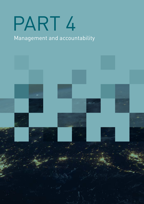# PART 4

# Management and accountability

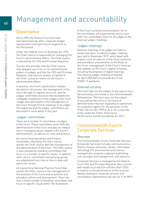# Management and accountability

# Governance

Since 1990, the Federal Court has been self-administering, with a separate budget appropriation and reporting arrangement to the Parliament.

Under the Federal Court of Australia Act 1976, the Chief Justice is responsible for managing the Court's administrative affairs. The Chief Justice is assisted by the CEO and Principal Registrar.

The Act also provides that the Chief Justice may delegate any of his or her administrative powers to judges, and that the CEO and Principal Registrar may exercise powers on behalf of the Chief Justice in relation to the Court's administrative affairs.

In practice, the Court's governance involves two distinct structures: the management of the Court through its registry structure, and the judges' committee structure that facilitates the collegiate involvement of the judges of the Court. Judges also participate in the management of the Court through formal meetings of all judges. The registries and the judges' committees are discussed in more detail in this part.

# Judges' committees

There are a number of committees of judges of the Court. These committees assist with the administration of the Court and play an integral role in managing issues related to the Court's administration, as well as its rules and practice.

An overarching Operations and Finance Committee, chaired by the Chief Justice, assists the Chief Justice with the management of the administration of the Court. The Chief Justice is also assisted by standing committees that focus on a number of specific issues. In addition, other ad hoc committees and working parties are established from time to time to deal with particular issues.

An overarching National Practice Committee assists the Chief Justice in the management of the business of the Court and on practice and procedure reform and improvement. There are also a small number of standing committees that focus on specific issues within the framework

of the Court's practice and procedure. All of the committees are supported by senior court staff. The committees report to all judges at the biannual judges' meetings.

# Judges' meetings

National meetings of all judges are held on a biannual basis. A national judges' meeting was held in November 2019, which dealt with matters such as reforms of the Court's practice and procedure, amendments to the Rules of the Court, management of the Court's finances and updates on the Court's digital initiatives, including the progress of digital hearings. The national judges' meeting scheduled for April 2020 did not proceed due to the COVID-19 pandemic.

# External scrutiny

The Court was not the subject of any reports by a Parliamentary committee or the Commonwealth Ombudsman. The Court was not the subject of any judicial decisions or decisions of administrative tribunals regarding its operations as a statutory agency for the purposes of the Public Service Act 1999 or as a non-corporate entity under the Public Governance, Performance and Accountability Act 2013.

# Commonwealth Courts Corporate Services

# **Overview**

The Commonwealth Courts Corporate Services (Corporate Services) includes communications, finance, human resources, library, information technology (IT), procurement and contract management, property, judgment publishing, risk oversight and management, and statistics.

Corporate Services is managed by the Federal Court CEO and Principal Registrar who consults with heads of jurisdiction and the other CEOs in relation to the performance of this function. Details relating to corporate services and consultation requirements are set out in an MOU.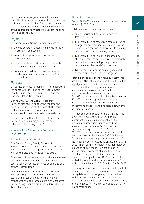Corporate Services generates efficiencies by consolidating resources, streamlining processes and reducing duplication. The savings gained from reducing the administrative burden on each of the courts are reinvested to support the core functions of the Courts.

# **Objectives**

The objectives of Corporate Services are to:

- provide accurate, accessible and up-to-date information and advice
- standardise systems and processes to increase efficiency
- build an agile and skilled workforce ready to meet challenges and changes, and
- create a national technology framework capable of meeting the needs of the Courts into the future.

# Purpose

Corporate Services is responsible for supporting the corporate functions of the Federal Court, Family Court, Federal Circuit Court and the National Native Title Tribunal.

During 2019–20, the work of Corporate Services focused on supporting the evolving needs of judges and staff across all the courts and tribunals, while delivering on required efficiencies to meet reduced appropriations.

The following outlines the work of Corporate Services, including major projects and achievements, during 2019–20.

# The work of Corporate Services in 2019–20

#### Financial management

The Federal Court, Family Court and Federal Circuit Court have a Finance Committee which is made up of judges from the courts as well as the CEO and Principal Registrar.

These committees meet periodically and oversee the financial management of their respective courts, with Corporate Services supporting each of these committees.

As the Accountable Authority, the CEO and Principal Registrar of the Federal Court has overarching responsibility for the financial management of the three courts and Corporate Services, together forming the Federal Court of Australia entity.

# Financial accounts

During 2019–20, revenue from ordinary activities totalled \$355.935 million.

Total revenue, in the main, comprised:

- an appropriation from government of \$273.973 million
- \$43.340 million of resources received free of charge, for accommodation occupied by the Court in Commonwealth Law Courts buildings and the Law Courts Building in Sydney
- \$35.450 million of liabilities assumed by other government agencies, representing the notional value of employer superannuation payments for the Courts' judges, and
- \$3.172 million from the sale of goods and services and other revenue and gains.

Total expenses as per the financial statements are \$353.481m. This comprises \$110.159 million in judges' salaries and related expenses, \$118.666 million in employees' salaries and related expenses, \$43.842 million in property-related lease expenses, \$48.628 million in other administrative expenses, \$29.955 million in depreciation expenses and \$2.231 million for the write-down and impairment of assets and financial instruments and financing costs.

The net operating result from ordinary activities for 2019–20, as reported in the financial statements, is a surplus of \$2.454 million including depreciation expenses and the accounting impacts of AASB 16 Leases. Depreciation expenses in 2019–20 of \$29.955 million includes depreciation on right of use assets recognised under AASB 16 Leases. To reflect the underlying operating surplus of the Federal Court of Australia entity, in line with Department of Finance guidelines, depreciation expenses of \$29.955 million are excluded and principal payments of lease liabilities of \$17.082 million are included. This effectively reverses the impact of AASB 16 Leases on the underlying result and shows a net surplus from ordinary activities of \$15.327 million for 2019–20.

The surplus is an improvement on the budgeted break-even position due to a number of projects being delayed to future years, primarily due to the uncertainty surrounding the passage of legislation as well as a reduction in travel activity in the final quarter of 2019–20 due to COVID-19 travel restrictions.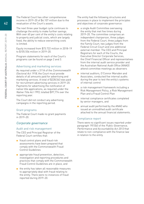The Federal Court has other comprehensive income in 2019–20 of \$4.107 million due to the revaluation of the Court's assets.

The next three-year budget cycle continues to challenge the entity to make further savings. With over 60 per cent of the entity's costs relating to property and judicial costs, which are largely fixed, the ability to reduce overarching costs is limited.

Equity increased from \$73.722 million in 2018–19 to \$105.556 million in 2019–20.

Program statements for each of the Court's programs can be found on page 2 and 3.

# Advertising and marketing services

As required under s 311A of the Commonwealth Electoral Act 1918, the Court must provide details of all amounts paid for advertising and marketing services. A total of \$228,563 was paid for recruitment advertising services in 2019–20. Payments for advertising the notification of native title applications, as required under the Native Title Act 1993, totalled \$97,774 over the reporting year.

The Court did not conduct any advertising campaigns in the reporting period.

#### Grant programs

The Federal Court made no grant payments in 2019–20.

# Corporate governance

# Audit and risk management

The CEO and Principal Registrar of the Federal Court certifies that:

- fraud control plans and fraud risk assessments have been prepared that comply with the Commonwealth Fraud Control Guidelines
- appropriate fraud prevention, detection, investigation and reporting procedures and practices that comply with the Commonwealth Fraud Control Guidelines are in place, and
- the entity has taken all reasonable measures to appropriately deal with fraud relating to the entity. There were no instances of fraud reported during 2019–20.

The entity had the following structures and processes in place to implement the principles and objectives of corporate governance:

- a single Audit Committee overseeing the entity that met five times during 2019–20. The committee comprises an independent chairperson, three judges from the Federal Court, three judges from the Family Court, two judges from the Federal Circuit Court and one additional external member. The CEO and Principal Registrars for each of the Courts, the Executive Director Corporate Services, the Chief Financial Officer and representatives from the internal audit service provider and the Australian National Audit Office (ANAO) attend committee meetings as observers
- internal auditors, O'Connor Marsden and Associates, conducted five internal audits during the year to test the entity's systems of internal control
- a risk management framework including a Risk Management Policy, a Risk Management Plan and a Fraud Control Plan
- internal compliance certificates completed by senior managers, and
- annual audit performed by the ANAO who issued an unmodified audit certificate attached to the annual financial statements.

# Compliance report

There were no significant issues reported under paragraph 19(1)(e) of the Public Governance, Performance and Accountability Act 2013 that relate to non-compliance with the finance law in relation to the entity.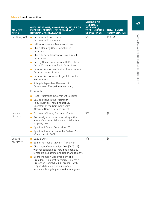# Table 4.1: Audit committee

| <b>MEMBER</b><br><b>NAME</b> | QUALIFICATIONS, KNOWLEDGE, SKILLS OR<br><b>EXPERIENCE (INCLUDE FORMAL AND</b><br><b>INFORMAL AS RELEVANT)</b>                                                                                                                                                                                                                                                                                                                                                                                                    | <b>NUMBER OF</b><br><b>MEETINGS</b><br><b>ENDED/</b><br>TOTAL NUMBER<br><b>OF MEETINGS</b> | <b>TOTAL ANNUAL</b><br><b>REMUNERATION</b> |
|------------------------------|------------------------------------------------------------------------------------------------------------------------------------------------------------------------------------------------------------------------------------------------------------------------------------------------------------------------------------------------------------------------------------------------------------------------------------------------------------------------------------------------------------------|--------------------------------------------------------------------------------------------|--------------------------------------------|
| lan Govey AM                 | ■ Bachelor of Laws (Hons).<br>Bachelor of Economics.<br>Fellow, Australian Academy of Law.<br>• Chair, Banking Code Compliance<br>Committee.<br>■ Chair, Federal Court of Australia Audit<br>Committee.<br>Deputy Chair, Commonwealth Director of<br>Public Prosecutions Audit Committee.<br>Director, Australian Centre of International<br>Commercial Arbitration.<br>Director, Australasian Legal Information<br>Institute (AustLII).<br>Acting Independent Reviewer, ACT<br>Government Campaign Advertising. | 5/5                                                                                        | \$18,125                                   |
|                              | Previously:<br>Head, Australian Government Solicitor.<br>SES positions in the Australian<br>Public Service, including Deputy<br>Secretary of the Commonwealth<br>Attorney-General's Department.                                                                                                                                                                                                                                                                                                                  |                                                                                            |                                            |
| Justice<br><b>Nicholas</b>   | Bachelor of Laws. Bachelor of Arts.<br>$\blacksquare$ Previously a barrister practising in the<br>areas of commercial law and intellectual<br>property law.<br>Appointed Senior Counsel in 2001.<br>Appointed as a Judge to the Federal Court<br>of Australia in 2009.                                                                                                                                                                                                                                           | 5/5                                                                                        | \$0                                        |
| Justice<br>Murphy**          | $\blacksquare$ LLB. B Juris.<br>Senior Partner of law firm (1990–95).<br>п<br>Chairman of national law firm (2005–11)<br>п<br>with responsibilities including financial<br>forecasts, budgeting and risk management.<br>Board Member, Vice President and<br>President, KidsFirst (formerly Children's<br>Protection Society) (2005–present) with<br>responsibilities including financial<br>forecasts, budgeting and risk management.                                                                            | 3/3                                                                                        | \$0                                        |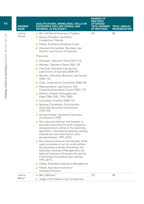| <b>MEMBER</b><br><b>NAME</b> | <b>QUALIFICATIONS, KNOWLEDGE, SKILLS OR</b><br><b>EXPERIENCE (INCLUDE FORMAL AND</b><br><b>INFORMAL AS RELEVANT)</b>                                                                                                                                                                  | <b>NUMBER OF</b><br><b>MEETINGS</b><br><b>TENDED/</b><br>TOTAL NUMBER<br><b>OF MEETINGS</b> | <b>TOTAL ANNUAL</b><br><b>REMUNERATION</b> |
|------------------------------|---------------------------------------------------------------------------------------------------------------------------------------------------------------------------------------------------------------------------------------------------------------------------------------|---------------------------------------------------------------------------------------------|--------------------------------------------|
| Justice                      | BA LLB (Hons) University of Sydney.<br>٠                                                                                                                                                                                                                                              | 5/5                                                                                         | \$0                                        |
| Farrell                      | Deputy President, Australian<br>п<br>Competition Tribunal.                                                                                                                                                                                                                            |                                                                                             |                                            |
|                              | Fellow, Australian Academy of Law.                                                                                                                                                                                                                                                    |                                                                                             |                                            |
|                              | Honorary life member, Business Law<br>$\mathbf{r}$<br>Section, Law Council of Australia.                                                                                                                                                                                              |                                                                                             |                                            |
|                              | Previously:                                                                                                                                                                                                                                                                           |                                                                                             |                                            |
|                              | President, Takeovers Panel (2010-12).                                                                                                                                                                                                                                                 |                                                                                             |                                            |
|                              | Member, Takeovers Panel (2001-10).                                                                                                                                                                                                                                                    |                                                                                             |                                            |
|                              | Chairman, Business Law Section,<br>п<br>Law Council of Australia (2008–09).                                                                                                                                                                                                           |                                                                                             |                                            |
|                              | Member, Executive, Business Law Section<br>$[2004-13]$ .                                                                                                                                                                                                                              |                                                                                             |                                            |
|                              | Chair, Corporations Committee (2000-03).<br>ш                                                                                                                                                                                                                                         |                                                                                             |                                            |
|                              | Representative, Law Council, ASX<br>Corporate Governance Council (2001-12).                                                                                                                                                                                                           |                                                                                             |                                            |
|                              | Partner, Freehill Hollingdale and<br>Page (1984-1992, 1994-2000).                                                                                                                                                                                                                     |                                                                                             |                                            |
|                              | Consultant, Freehills (2000–12).                                                                                                                                                                                                                                                      |                                                                                             |                                            |
|                              | • National Coordinator, Enforcement,<br>Australian Securities Commission<br>$[1992 - 93]$ .                                                                                                                                                                                           |                                                                                             |                                            |
|                              | Acting member, Australian Securities<br>Commission (1993).                                                                                                                                                                                                                            |                                                                                             |                                            |
|                              | Non-executive director and member of<br>the audit committee for profit companies<br>and government entities in the electricity<br>generation, international banking, clothing<br>manufacture and retail sectors lover<br>periods between 1995-2010).                                  |                                                                                             |                                            |
|                              | Non-executive director and member of the<br>audit committee of not-for-profit entities<br>the Securities Institute of Australia, the<br>Australian Institute of Management, the<br>National Institute of Dramatic Art and the<br>Fred Hollows Foundation (over periods<br>1995-2017). |                                                                                             |                                            |
|                              | Fellow, Australian Institute of Management.<br>$\mathcal{L}_{\mathcal{A}}$                                                                                                                                                                                                            |                                                                                             |                                            |
|                              | Fellow, Australian Institute of<br>Company Directors.                                                                                                                                                                                                                                 |                                                                                             |                                            |
| Justice<br>White*            | BA LLB(Hons)<br>Judge of the Federal Court of Australia.<br>$\blacksquare$                                                                                                                                                                                                            | 2/2                                                                                         | \$0                                        |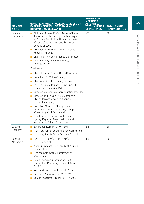| <b>MEMBER</b><br><b>NAME</b> | QUALIFICATIONS, KNOWLEDGE, SKILLS OR<br><b>EXPERIENCE (INCLUDE FORMAL AND</b><br><b>INFORMAL AS RELEVANT)</b>                                                                                                                                                                                                                                      | <b>NUMBER OF</b><br><b>MEETINGS</b><br><b>ENDED/</b><br>TOTAL NUMBER<br><b>OF MEETINGS</b> | <b>TOTAL ANNUAL</b><br><b>REMUNERATION</b> |
|------------------------------|----------------------------------------------------------------------------------------------------------------------------------------------------------------------------------------------------------------------------------------------------------------------------------------------------------------------------------------------------|--------------------------------------------------------------------------------------------|--------------------------------------------|
| Justice<br>Benjamin          | Diploma of Laws (SAB). Master of Laws<br>(University of Technology) with a major<br>in Dispute Resolution. Honorary Master<br>of Laws (Applied Law) and Fellow of the<br>College of Law.<br>Presidential Member, Administrative<br>Appeals Tribunal.<br>Chair, Family Court Finance Committee.<br>Deputy Chair, Academic Board,<br>College of Law. | 4/5                                                                                        | \$0                                        |
|                              | Previously:                                                                                                                                                                                                                                                                                                                                        |                                                                                            |                                            |
|                              | Chair, Federal Courts' Costs Committee.<br><b>President, NSW Law Society.</b><br>Chair and Director, College of Law.<br>п<br>Trustee, Public Purpose Fund under the<br>п<br>Legal Profession Act 1987.                                                                                                                                             |                                                                                            |                                            |
|                              | Director, Solicitors Superannuation Pty Ltd.                                                                                                                                                                                                                                                                                                       |                                                                                            |                                            |
|                              | Director, Purvis Van Eyk & Company<br>Pty Ltd (an actuarial and financial<br>research company).                                                                                                                                                                                                                                                    |                                                                                            |                                            |
|                              | Executive Member, Management<br>Committee, Rose Consulting Group<br>(Consulting Civil Engineers).                                                                                                                                                                                                                                                  |                                                                                            |                                            |
|                              | Legal Representative, South-Eastern<br>Sydney Regional Area Health Board,<br>Institutional Ethics Committee.                                                                                                                                                                                                                                       |                                                                                            |                                            |
| Justice                      | BA (Hons), LLB, PhD (Uni Syd).                                                                                                                                                                                                                                                                                                                     | 2/3                                                                                        | \$0                                        |
| Harper**                     | Member, Family Court Finance Committee.<br>п                                                                                                                                                                                                                                                                                                       |                                                                                            |                                            |
|                              | Member, Family Court Conduct Committee.<br>п                                                                                                                                                                                                                                                                                                       |                                                                                            |                                            |
| Justice<br>McEvoy**          | $B.A$ ; LL.B. (Hons); LL.M (Melb);<br>S.J.D. (Virginia).                                                                                                                                                                                                                                                                                           | 3/3                                                                                        | \$0                                        |
|                              | Visiting Professor, University of Virginia<br>School of Law.                                                                                                                                                                                                                                                                                       |                                                                                            |                                            |
|                              | Finance Committee, Family Court<br>of Australia.                                                                                                                                                                                                                                                                                                   |                                                                                            |                                            |
|                              | Board member; member of audit<br>committee; Parenting Research Centre,<br>$2010 - 16$ .                                                                                                                                                                                                                                                            |                                                                                            |                                            |
|                              | Queen's Counsel, Victoria, 2016-19.                                                                                                                                                                                                                                                                                                                |                                                                                            |                                            |
|                              | Barrister, Victorian Bar, 2002-19.                                                                                                                                                                                                                                                                                                                 |                                                                                            |                                            |
|                              | Senior Associate, Freehills 1999-2002.                                                                                                                                                                                                                                                                                                             |                                                                                            |                                            |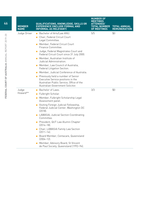| <b>MEMBER</b><br><b>NAME</b> | QUALIFICATIONS, KNOWLEDGE, SKILLS OR<br><b>EXPERIENCE (INCLUDE FORMAL AND</b><br><b>INFORMAL AS RELEVANT)</b>                                            | <b>NUMBER OF</b><br><b>MEETINGS</b><br>TENDED/<br>TOTAL NUMBER<br><b>OF MEETINGS</b> | <b>TOTAL ANNUAL</b><br><b>REMUNERATION</b> |
|------------------------------|----------------------------------------------------------------------------------------------------------------------------------------------------------|--------------------------------------------------------------------------------------|--------------------------------------------|
| Judge Driver                 | Bachelor of Arts/Law ANU.                                                                                                                                | 5/5                                                                                  | \$0                                        |
|                              | Chair, Federal Circuit Court<br>п<br>Legal Committee.                                                                                                    |                                                                                      |                                            |
|                              | Member, Federal Circuit Court<br>Finance Committee.                                                                                                      |                                                                                      |                                            |
|                              | Judge, Federal Magistrates Court and<br>Federal Circuit Court since 31 July 2000.                                                                        |                                                                                      |                                            |
|                              | ■ Member, Australian Institute of<br>Judicial Administration.                                                                                            |                                                                                      |                                            |
|                              | Member, Law Council of Australia,<br>Federal Litigation Section.                                                                                         |                                                                                      |                                            |
|                              | Member, Judicial Conference of Australia.                                                                                                                |                                                                                      |                                            |
|                              | Previously held a number of Senior<br>Executive Service positions in the<br>Australian Public Service, Office of the<br>Australian Government Solicitor. |                                                                                      |                                            |
| Judge                        | Bachelor of Laws.<br>п                                                                                                                                   | 3/3                                                                                  | \$0                                        |
| Howard**                     | Fulbright Scholar.<br>$\blacksquare$                                                                                                                     |                                                                                      |                                            |
|                              | Member, Fulbright Scholarship Legal<br>$\blacksquare$<br>Assessment panel.                                                                               |                                                                                      |                                            |
|                              | Visiting Foreign Judicial Fellowship,<br>Federal Judicial Center, Washington DC<br>$[2018]$ .                                                            |                                                                                      |                                            |
|                              | LAWASIA, Judicial Section Coordinating<br>Committee.                                                                                                     |                                                                                      |                                            |
|                              | President, QUT Law Alumni Chapter<br>[2014–18].                                                                                                          |                                                                                      |                                            |
|                              | Chair, LAWASIA Family Law Section<br>$[2011 - 14]$ .                                                                                                     |                                                                                      |                                            |
|                              | Board Member, Centacare, Queensland<br>$[2004 - 12]$ .                                                                                                   |                                                                                      |                                            |
|                              | Member, Advisory Board, St Vincent<br>de Paul Society, Queensland (1992-94).                                                                             |                                                                                      |                                            |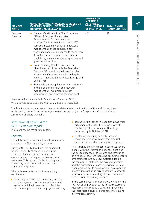| <b>MEMBER</b><br><b>NAME</b> | QUALIFICATIONS, KNOWLEDGE, SKILLS OR<br>EXPERIENCE (INCLUDE FORMAL AND<br><b>INFORMAL AS RELEVANT)</b>                                                                                                                                                                                                                                                                                                                                                                                                                                                                                                                                                                                                                                                                                                                                                | <b>NUMBER OF</b><br><b>MEETINGS</b><br><b>ATTENDED/</b><br><b>TOTAL NUMBER</b><br>OF MEETINGS | <b>TOTAL ANNUAL</b><br><b>REMUNERATION</b> |
|------------------------------|-------------------------------------------------------------------------------------------------------------------------------------------------------------------------------------------------------------------------------------------------------------------------------------------------------------------------------------------------------------------------------------------------------------------------------------------------------------------------------------------------------------------------------------------------------------------------------------------------------------------------------------------------------------------------------------------------------------------------------------------------------------------------------------------------------------------------------------------------------|-----------------------------------------------------------------------------------------------|--------------------------------------------|
| Frances<br>Cawthra           | $\blacksquare$ Frances Cawthra is the Chief Executive<br>Officer of Cenitex, the Victorian<br>Government's IT shared service<br>provider. Cenitex provides essential ICT<br>services including identity and network<br>management, cyber security, user<br>workspace and cloud services to more than<br>30 Victorian Government departments,<br>portfolio agencies, associated agencies and<br>government entities.<br>Prior to joining Cenitex, Frances was<br>Chief Finance Officer with the Australian<br>Taxation Office and has held senior roles<br>in a variety of organisations including the<br>National Australia Bank, United Energy and<br>Coles Myer.<br>$\blacksquare$ She has been recognised for her leadership<br>in the areas of financial and resource<br>management, investment strategy,<br>procurement and contract management. | 4/5                                                                                           | \$0                                        |
|                              |                                                                                                                                                                                                                                                                                                                                                                                                                                                                                                                                                                                                                                                                                                                                                                                                                                                       |                                                                                               |                                            |

\* Member retired from the Audit Committee in December 2019.

\*\* Member was appointed to the Audit Committee in February 2020.

The direct electronic address of the charter determining the functions of the audit committee for the entity can be found at [https://www.fedcourt.gov.au/about/corporate-information/audit](https://www.fedcourt.gov.au/about/corporate-information/audit-committee-charter/_nocache)[committee-charter/\\_nocache.](https://www.fedcourt.gov.au/about/corporate-information/audit-committee-charter/_nocache)

# Correction of errors in the 2018–19 annual report

The Court has no matters to report.

# **Security**

The safety and security of all people who attend or work in the Courts is a high priority.

During 2019–20, \$6.5 million was expended for court security services, including the presence of security officers, weapons screening, staff training and other security measures. This figure includes funding spent on security equipment maintenance and equipment upgrades.

Other achievements during the reporting year include:

■ Finalising the procurement arrangements for the upgrade of security equipment and systems which will ensure court facilities continue to provide effective physical security.

- Taking up the first of two additional two-year extension options for the Commonwealth Contract for the provision of Guarding Services (up to October 2021).
- Replacing the aging security incident recording system with an integrated risk and security incident management system.

The Marshal and Sheriff continues to work very closely with the Australian Federal Police and the police services of the states and territories on a range of matters including executing orders emanating from family law matters such as the recovery of children, the arrest of persons and the prevention of parties leaving Australia when ordered not to do so, as well as a range of information exchange arrangements in order to improve our understanding of risks associated with individuals coming to court.

In the coming years, the Court will complete the roll-out of upgraded security infrastructure and measures to introduce a culture emphasising the integrated nature of personal, physical and information security.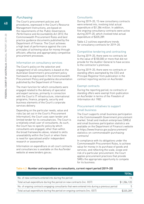# **Purchasing**

The Court's procurement policies and procedures, expressed in the Court's Resource Management Instructions, are based on the requirements of the Public Governance, Performance and Accountability Act 2013, the Commonwealth Procurement Rules and best practice guidance documents published by the Department of Finance. The Court achieves a high level of performance against the core principles of achieving value for money through efficient, effective and appropriately competitive procurement processes.

# Information on consultancy services

The Court's policy on the selection and engagement of all consultants is based on the Australian Government's procurement policy framework as expressed in the Commonwealth Procurement Policy and guideline documentation published by the Department of Finance.

The main function for which consultants were engaged related to the delivery of specialist and expert services, primarily in connection with the Court's IT infrastructure, international programs, finance, property, security and business elements of the Court's corporate services delivery.

Depending on the particular needs, value and risks (as set out in the Court's Procurement Information), the Court uses open tender and limited tender for its consultancies. The Court is a relatively small user of consultants. As such, the Court has no specific policy by which consultants are engaged, other than within the broad frameworks above, related to skills unavailability within the Court or when there is need for specialised and/or independent research or assessment.

Information on expenditure on all court contracts and consultancies is available on the AusTender website at [www.tenders.gov.au.](http://www.tenders.gov.au)

# **Consultants**

During 2019–20, 15 new consultancy contracts were entered into, involving total actual expenditure of \$1.286 million. In addition, five ongoing consultancy contracts were active during 2019–20, which involved total actual expenditure of \$335,289.

Table 4.2 outlines expenditure trends for consultancy contracts for 2019–20.

# Competitive tendering and contracting

During 2019–20, there were no contracts let to the value of \$100,000 or more that did not provide for the Auditor-General to have access to the contractor's premises.

During 2019–20, there were no contracts or standing offers exempted by the CEO and Principal Registrar from publication in the contract reporting section on AusTender.

# Exempt contracts

During the reporting period, no contracts or standing offers were exempt from publication on AusTender in terms of the Freedom of Information Act 1982.

# Procurement initiatives to support small business

The Court supports small business participation in the Commonwealth Government procurement market. Small and medium enterprises (SMEs) and small business participation statistics are available on the Department of Finance's website at [https://www.finance.gov.au/procurement/](https://www.finance.gov.au/procurement/statistics-on-commonwealth-purchasing-contracts/) [statistics-on-commonwealth-purchasing](https://www.finance.gov.au/procurement/statistics-on-commonwealth-purchasing-contracts/)[contracts/](https://www.finance.gov.au/procurement/statistics-on-commonwealth-purchasing-contracts/)

In compliance with its obligations under the Commonwealth Procurement Rules, to achieve value for money in its purchase of goods and services, and reflecting the scale, scope and risk of a particular procurement, the Court applies procurement practices that provide SMEs the appropriate opportunity to compete for its business.

# Table 4.2: Number and expenditure on consultants, current report period (2019–20)

|                                                                                               | TOTAL       |
|-----------------------------------------------------------------------------------------------|-------------|
| No. of new contracts entered into during the period                                           |             |
| Total actual expenditure during the period on new contracts (inc. GST)                        | \$1,286,120 |
| No. of ongoing contracts engaging consultants that were entered into during a previous period | h           |
| Total actual expenditure during the period on ongoing contracts (inc. GST)                    | \$335.289   |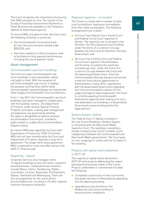The Court recognises the importance of ensuring that SMEs are paid on time. The results of the Survey of Australian Government Payments to Small Business are available on the Treasury's website at [www.treasury.gov.au.](http://www.treasury.gov.au)

To ensure SMEs are paid on time, the Court uses the following initiatives or practices:

- the Commonwealth Contracting Suite for low-risk procurements valued under \$200,000, and
- electronic systems or other processes used to facilitate on-time payment performance, including the use of payment cards.

# Asset management

# Commonwealth Law Court buildings

The Court occupies Commonwealth Law Court buildings in every Australian capital city (eight in total). With the exception of two Commonwealth Law Courts in Sydney, the purpose-built facilities within these Commonwealth-owned buildings are shared with other largely Commonwealth Court jurisdictions.

From 1 July 2012, the Commonwealth Law Court buildings have been managed in collaboration with the building 'owners', the Department of Finance, under revised 'Special Purpose Property' principles. Leasing and management arrangements are governed by whether the space is designated as special purpose accommodation (courtrooms, chambers, public areas) or usable office accommodation (registry areas).

An interim MOU was signed by the Court with Department of Finance for 2018–19 and this MOU will roll over monthly while the Court and Department of Finance negotiate a long-term agreement. The longer-term lease agreement MOU is expected to come into effect early in the 2020–21 financial year.

# Registries – leased

Corporate Services also manages some 13 registry buildings across the nation, located in leased premises. Leased premises locations include Albury, Cairns, Dandenong, Dubbo, Launceston, Lismore, Newcastle, Rockhampton, Sydney, Townsville and Wollongong. There are also arrangements for the use of ad hoc accommodation for circuiting in 25 other regional locations throughout Australia.

# Regional registries – co-located

The Courts co-locate with a number of state court jurisdictions, leasing accommodation from their state counterparts. The following arrangements are in place:

- the Court has Federal Court, Family Court and Federal Circuit Court registries in Darwin. The registries are co-located in the Northern Territory Supreme Court building under the terms of a Licence to Occupy between the Court and the Northern Territory Government, and
- the Court has a Family Court and Federal Circuit Court registry in Rockhampton, and formerly circuited to this premises six weeks per year, under the terms of a Licence to Occupy between the Court and the Queensland Government. Since the Commonwealth Attorney-General announced a new full-time judicial appointment in Rockhampton in early 2016, negotiations with the Queensland Government regarding full-time accommodation options for the judge and registry have progressed. The Court is currently awaiting Commonwealth Government approval and funding to fit-out a new dedicated court building in a Queensland Government vacant building within the legal precinct.

# Queens Square, Sydney

The Federal Court in Sydney is located in the Law Courts Building in Queens Square, co-tenanting with the New South Wales Supreme Court. This building is owned by a private company (Law Courts Limited), a joint collaboration between the Commonwealth and New South Wales governments. The Court pays no rent, outgoings or utility costs for its space in this building.

# Projects and capital works delivered in 2019–20

The majority of capital works delivered in 2019–20 were projects addressing the urgent and essential business needs of the Courts. Projects undertaken or commenced included the following:

- Completed construction of new courtrooms and public facilities in Newcastle by expanding into the adjoining building.
- Upgraded jury box facilities in the Melbourne Law Courts building to ensure access compliance.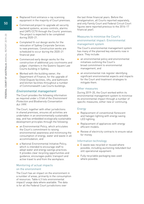- Replaced front entrance x-ray scanning equipment in the majority of Court premises.
- Commenced project to upgrade all security backend systems, access controls, alarms and CAPS CCTV through the Courts' premises. The project is expected to be completed during 2020–21.
- Completed fit-out design works for the relocation of Sydney Corporate Services to new premises. Construction works are scheduled to occur during the 2020–21 financial year.
- Commenced early design works for the construction of additional jury courtrooms and judges' chambers in the Queens Square Law Courts building in Sydney.
- Worked with the building owner, the Department of Finance, for the upgrade of Child Dispute facilities, lifts, and bathroom and kitchen facilities throughout a number of Commonwealth Law Courts buildings.

# Environmental management

The Court provides the following information as required under s 516A of the Environment Protection and Biodiversity Conservation Act 1999.

The Court, together with other jurisdictions in shared premises, ensures all activities are undertaken in an environmentally sustainable way, and has embedded ecologically sustainable development principles through the following:

- an Environmental Policy, which articulates the Court's commitment to raising environmental awareness and minimising the consumption of energy, water and waste in all accommodation, and
- a National Environmental Initiative Policy, which is intended to encourage staff to adopt water and energy savings practices. It provides clear recycling opportunities and guidance, encourages public transport and active travel to and from the workplace.

# Monitoring of actual impacts on the environment

The Court has an impact on the environment in a number of areas, primarily in the consumption of resources. Table 4.3 lists environmental impact/ usage data where available. The data is for all the Federal Court jurisdictions over

the last three financial years. Before the amalgamation, all Courts reported separately, and only Family Court and Federal Circuit Court figures were reported previous to the 2016–17 financial year).

# Measures to minimise the Court's environmental impact: Environmental management system

The Court's environmental management system has many of the planned key elements now in place. They include:

- an environmental policy and environmental initiatives outlining the Court's broad commitment to environmental management, and
- an environmental risk register identifying significant environmental aspects and impacts for the Court and treatment strategies to mitigate them.

# Other measures

During 2019–20, the Court worked within its environmental management system to minimise its environmental impact through a number of specific measures, either new or continuing.

# Energy

- Replacement of conventional florescent and halogen lighting with energy saving LED lighting.
- Replacement of appliances with energy efficient models.
- Review of electricity contracts to ensure value for money.

# Information technology

- E-waste was recycled or reused where possible, including auctioning redundant but still operational equipment.
- Fully recyclable packaging was used where possible.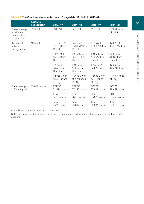|                                                              | $2015 - 16$<br><b>FCFCC ONLY</b> | 2016-17                                    | $2017 - 18$                                | 2018-19                                  | 2019-20                              |
|--------------------------------------------------------------|----------------------------------|--------------------------------------------|--------------------------------------------|------------------------------------------|--------------------------------------|
| Energy usage<br>- privately<br>leased sites<br>(stationary)* | 5722 GJ                          | 5315 GJ                                    | 5483 GJ                                    | 4353 GJ                                  | N/A at time<br>of printing           |
| Transport<br>vehicles -<br>energy usage                      | 6002 GJ                          | 112,721 L/<br>970,500 km<br>Petrol         | $146,216$ L/<br>1,251,442 km<br>Petrol     | 119,476 $L/$<br>1,058,735 km<br>Petrol   | 123,787 L/<br>1,231,264 km<br>Petrol |
|                                                              |                                  | $+59,776$ L/<br>650,750 km<br>Diesel       | $+ 54,250 L/$<br>553,917 km<br>Diesel      | $+58,233 L/$<br>613,562 km<br>Diesel     | 43,519 L/<br>450433 km<br>Diesel     |
|                                                              |                                  | $+4749$ L/<br>83,420 km<br>Dual fuel       | $+6099 L/$<br>61,559 km<br>Dual fuel       | $+4.976 L/$<br>84,872 km<br>Dual fuel    | 10,652 L/<br>106,918 km<br>Dual fuel |
|                                                              |                                  | $= 6535$ GJ or<br>436.3 tonnes<br>of $CO2$ | $= 7095$ GJ or<br>502.9 tonnes<br>of $CO2$ | $= 6593$ GJ or<br>461 tonnes<br>of $CO2$ | $= 443$ tonnes<br>of $CO2$           |
| Paper usage<br>(office paper)                                | 33,872 reams                     | <b>FCFCC</b><br>29,576 reams               | <b>FCFCC</b><br>27,192 reams               | <b>FCFCC</b><br>27,049 reams             | <b>FCFCC</b><br>28,651 reams         |
|                                                              |                                  | <b>FCA</b><br>6403 reams                   | <b>FCA</b><br>7825 reams                   | <b>FCA</b><br>8,787 reams                | <b>FCA</b><br>5,866 reams            |
|                                                              |                                  | Total<br>35,979 reams                      | Total<br>35,017 reams                      | Total<br>35,836 reams                    | Total<br>33,812 reams                |

# Table 4.3: The Court's environmental impact/usage data, 2015–16 to 2019–20

FCFCC (Family Court and Federal Circuit Court).

\* Note: The Department of Finance reports for the Commonwealth Law Courts; these figures are for the leased sites only.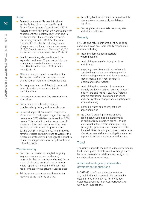# Paper

- An electronic court file was introduced for the Federal Court and the Federal Circuit Court (general federal law) in 2014. Matters commencing with the Courts are now handled entirely electronically. Over 85,514 electronic court files have been created, comprising almost 1,041,597 electronic documents, effectively replacing the use of paper in court files. This is an increase of 14,812 electronic court files and 166,425 electronic court documents from 2018–19.
- Family law eFiling also continues to be expanded, with over 87 per cent of divorce applications now being electronically filed. This is an increase of 17 per cent from 2018–19.
- Clients are encouraged to use the online Portal, and staff are encouraged to send emails rather than letters where feasible.
- Secure paper (e.g. confidential) continued to be shredded and recycled for all court locations.
- Non-secure paper recycling was available at all sites.
- Printers are initially set to default double-sided printing and monochrome.
- Recycled paper (8,774 reams) comprises 26 per cent of total paper usage. The overall reams total 2019–20 has decreased by 2,024 reams. This is due to the increased use of electronic filing and communication were feasible, as well as working from home during COVID-19 restrictions. The entity will remind officials on their return to work of the electronic protocols and highlight the benefits of our learned practices working from home without a printer.

# Waste/cleaning

- Provision for waste co-mingled recycling (e.g. non-secure paper, cardboard, recyclable plastics, metals and glass) forms a part of cleaning contracts, with regular waste reporting included in the contract requirements for the privately leased sites.
- Printer toner cartridges continued to be recycled at the majority of sites.
- Recycling facilities for staff personal mobile phones were permanently available at key sites.
- Secure paper and e-waste recycling was available at all sites.

# Property

Fit-outs and refurbishments continued to be conducted in an environmentally responsible manner including:

- recycling demolished materials where possible
- maximising reuse of existing furniture and fittings
- engaging consultants with experience in sustainable development where possible and including environmental performance requirements in relevant contracts (design and construction)
- maximising the use of environmentally friendly products such as recycled content in furniture and fittings, low VOC (volatile organic compound) paint and adhesives, and energy efficient appliances, lighting and air conditioning
- installing water and energy efficient appliances, and
- the Court's project planning applies ecologically sustainable development principles from 'cradle to grave' – taking a sustainable focus from initial planning through to operation, and on to end-of-life disposal. Risk planning includes consideration of environment risks, and mitigations are put in place to address environmental issues.

# **Travel**

The Court supports the use of video conferencing facilities in place of staff travel. Although some travel is unavoidable, staff are encouraged to consider other alternatives.

# Additional ecologically sustainable development implications

In 2019–20, the Court did not administer any legislation with ecologically sustainable development implications, nor did it have outcomes specified in an Appropriations Act with such implications.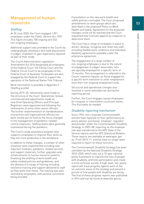# Management of human resources

# **Staffing**

At 30 June 2020, the Court engaged 1,091 employees under the Public Service Act 1999. This figure includes 758 ongoing and 333 non-ongoing employees.

Additional support was provided to the Courts by undergraduate volunteers who seek placements in judges' chambers to gain experience required as part of their study.

The Courts Administration Legislation Amendment Act 2016 designated all employees of the Federal Court, the Family Court and the Federal Circuit Court to be employees of the Federal Court of Australia. Employees are also engaged by the Federal Court to support the operation of the National Native Title Tribunal.

More information is provided in Appendix 9 (Staffing profile).

During 2019–20, refinements were made to the structure of the Court. Operational reviews commenced and adjustments made as new Chief Operating Officers and Principal Registrars were appointed and following the retirements of some other senior officials. The further implementation of standardisation of practices and organisational efficiencies were mostly put on hold as the focus changed to the management of pandemic-related control measures. Staffing levels were generally maintained during the pandemic.

The Court's study assistance program also supports employees to improve their skills so they are more productive in the workplace.

In addition to these changes, a number of other initiatives were implemented including new induction modules, pandemic-related services and support materials; further upgrades and enhancements to human resource systems; finalising the drafting of work health and safety-related policies and guidelines; and the delivery of a range of training including resilience training and support delivered to staff as they work from home. The training was well received by employees, with positive comments being provided.

Consultation on the new work health and safety policies concluded. The Court proposed amendments to work groups which are described in the proposed Policy on Work Health and Safety. Agreement on the proposed changes could not be reached and the Court requested that Comcare appoint an inspector to determine them.

The Court has a range of strategies in place to attract, develop, recognise and retain key staff, including flexible work conditions and individual flexibility agreements available under the enterprise agreement.

The engagement of a large number of non-ongoing employees is due to the nature of engagement of judges' associates, who are typically employed for a specific term of 12 months. This arrangement is reflected in the Courts' retention figures, as those engaged for a specific term transition to other employment once their non-ongoing employment ends.

Structural and operational changes also resulted in some redundancies during the reporting period.

Further, the Court engages casual employees for irregular or intermittent courtroom duties. This fluctuates as needed.

# Disability reporting mechanism

Since 1994, non-corporate Commonwealth entities have reported on their performance as policy adviser, purchaser, employer, regulator and provider under the Commonwealth Disability Strategy. In 2007–08, reporting on the employer role was transferred to the APS State of the Service reports and the APS Statistical Bulletin. These reports are available at [www.apsc.gov.](http://www.apsc.gov.au) [au.](http://www.apsc.gov.au) From 2010–11, entities have no longer been required to report on these functions.

The Commonwealth Disability Strategy has been overtaken by the National Disability Strategy 2010–2020, which sets out a 10-year national policy framework to improve the lives of people with disability, promote participation and create a more inclusive society. A high-level, two-yearly report will track progress against each of the six outcome areas of the strategy and present a picture of how people with disability are faring. The first of these progress reports was published in 2014 and can be found at [www.dss.gov.au.](http://www.dss.gov.au
)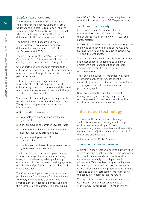# Employment arrangements

The remuneration of the CEO and Principal Registrars for the Federal Court, the Family Court and the Federal Circuit Court, and the Registrar of the National Native Title Tribunal, who are holders of statutory offices, is determined by the Remuneration Tribunal.

The Courts' Senior Executive Service (SES) employees are covered by separate determinations made under s 24(1) of the Public Service Act 1999.

The Federal Court of Australia Enterprise Agreement 2018–2021 covers most non-SES employees and commenced on 7 August 2018.

One undertaking was made in relation to the enterprise agreement in respect to the minimum number of hours that part-time workers must be paid per occasion.

Individual flexibility arrangements are used to vary the effect of certain provisions in the enterprise agreement. Employees and the Court may come to an agreement to vary such things as salary and other benefits.

Some transitional employment arrangements remain, including those described in Australian Workplace Arrangements and common law contracts.

At 30 June 2020, there were:

- five employees on Australian workplace agreements
- eight employees on common law contracts
- one hundred and twenty one employees on individual flexibility arrangements
- eighteen employees on s 24 determinations, and
- one thousand and seventy employees covered by an enterprise agreement.

In addition to salary, certain employees have access to a range of entitlements including leave, study assistance, salary packaging, guaranteed minimum superannuation payments, membership of professional associations and other allowances.

The Court's employment arrangements do not provide for performance pay for all employees. However, one employee's employment arrangement provided for a bonus, subject to their completion of a project. The bonus paid

was \$27,480. Another employee is eligible for a retention bonus each year (\$2,000 per annum).

# Work health and safety

In accordance with Schedule 2, Part 4 of the Work Health and Safety Act 2011, the Court reports on certain work health and safety matters.

In 2019–20, there were no incidents that required the giving of notice under s 38 of the Act; and no investigations or notices under sections 90, 191 and 195 of that Act.

The Court uses its Health and Safety Committee and other consultative forums to liaise with employees about changes that affect them. The committee met five times during the reporting period.

The Court also supports employees' wellbeing by providing access to free, confidential counselling services, and influenza vaccinations. The program was refreshed and a new provider engaged.

Comcare audited the Court's rehabilitation management system during the previous reporting period. Corrective actions from that audit have now been implemented.

# Information technology

The work of the Information Technology (IT) section is focused on creating a technology environment that is simple, follows contemporary industry standards and meets the evolving needs of judges and staff across all of the Courts and Tribunals.

Achievements for 2019–20 follow.

# Courtroom video conferencing

A further 12 courtrooms were fitted out with fixed video conferencing infrastructure. This increases the penetration of courtrooms with fixed video conference capability from 38 per cent to 45 per cent. Video conferencing technology has been a key part of the Courts' response to the COVID-19 social distancing requirements and are expected to be an increasingly important part of the conduct of hearings into the future.

The core of the video conference infrastructure was modernised and consolidated as part of the COVID-19 response. Prior to the work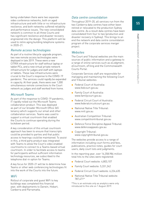being undertaken there were two separate video conference networks, both on aged infrastructure and with little or no infrastructure resilience, and both networks suffered reliability and performance issues. The new consolidated network is common to all three Courts and has significant resilience and disaster recovery engineered into the design. This platform will be used to retire aging building telephone systems in 2020–21.

# Remote access technologies

As part of a routine lifecycle upgrade program, two new remote access technologies were deployed in late 2019. These were a new CITRIX infrastructure for staff without laptop or tablet PCs, and a new virtual private network infrastructure for judges and staff with laptops or tablets. These new infrastructures were crucial to the Court's response to the COVID-19 pandemic. The services could rapidly be expanded in capacity. At their peak, there were over 1,000 simultaneous remote connections to the Court network as judges and staff worked from home.

# Microsoft Teams

As part of the response to COVID-19 pandemic, IT rapidly rolled out the Microsoft Teams collaboration product. This was deployed as part of our broader Microsoft Office 365 tenancy which supports our email and other collaboration services. Teams was used to support a virtual courtroom that enabled the Courts to continue operating during the lockdown period.

A key consideration of this virtual courtroom approach has been to ensure that transcripts could be provided to parties and that public access to hearings could be maintained. To assist in this, a third party product was integrated with Teams to allow the Court's video enabled courtrooms to connect to a Teams-based virtual courtroom. In order to facilitate access to teams for participants without sufficient information technology resources, we subscribed to the telephone dial-in option for Teams.

A key focus for 2020–21 will be to determine how Teams or other web conferencing technologies fit into the work of the Courts into the future.

# WiFi

Rollout of corporate and guest WiFi to key buildings was completed this financial year, with deployments to Darwin, Hobart, Canberra and Parramatta.

# Data centre consolidation

Throughout 2019–20, all services run from the two Canberra data centres have either been retired or relocated to the production Sydney data centre. As a result data centres have been consolidated from four to two (production and disaster recovery in Sydney). This brings to an end the network and data centre consolidation program of the corporate services merger project.

# **Websites**

The Court and Tribunal websites are the main sources of public information and a gateway to a range of online services such as eLodgment, eCourtroom, eFiling and the Commonwealth Courts Portal.

Corporate Services staff are responsible for managing and maintaining the following Court and Tribunal websites:

- Federal Court of Australia: [www.fedcourt.gov.au](http://www.fedcourt.gov.au)
- Family Court of Australia: [www.familycourt.gov.au](http://www.familycourt.gov.au)
- Federal Circuit Court of Australia: [www.federalcircuitcourt.gov.au](http://www.federalcircuitcourt.gov.au)
- National Native Title Tribunal: [www.nntt.gov.au](http://www.nntt.gov.au)
- Australian Competition Tribunal: [www.competitiontribunal.gov.au](http://www.competitiontribunal.gov.au)
- Defence Force Discipline Appeal Tribunal: [www.defenceappeals.gov.au](http://www.defenceappeals.gov.au)
- Copyright Tribunal: [www.copyrighttribunal.gov.au](http://www.copyrighttribunal.gov.au)

The websites provide access to a range of information including court forms and fees, publications, practice notes, guides for court users, daily court lists and judgments.

In the reporting year, over 16,358,984 million total hits to the sites were registered:

- Federal Court website: 4,803,107
- Family Court website: 5,331,242
- Federal Circuit Court website: 6,224,635
- National Native Title Tribunal website: 787,471\*

\*This is an estimate only as analytics were only introduced to this site on 1 August 2019.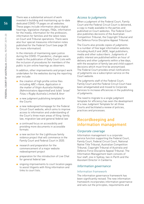There was a substantial amount of work invested in building and maintaining up-to-date dedicated COVID-19 pages on all websites. These pages include information about digital hearings, legislative changes, FAQs, information for the media, information for the profession, information for families and the latest news on Court and Tribunal operations. There were also four special measures information notes published for the Federal Court (see page 30 for more information).

In the interests of maintaining open justice during the COVID-19 pandemic, changes were made to the publication of Daily Court Lists with the inclusion of procedures for members of the public to join online hearings as observers.

In addition, other improvements and project work undertaken for the websites during the reporting year include:

- the creation of high profile online files including ABC v Kane, Application in the matter of Virgin Australia Holdings (Administrators Appointed) and Isileli 'Israel' Folau v Rugby Australia Limited & Anor
- a new judgment publishing template for the Courts
- a new redesigned homepage for the Federal Circuit Court website, which aims to improve access to information and understanding of the Court's three main areas of filing: family law, migration law and general federal law
- a continued focus on accessibility and providing more documents in accessible formats
- a new section for the Lighthouse family violence project that will commence in the Family Court and Federal Court in 2020.
- research and preparation for the commencement of a major website redevelopment project
- preparation for the introduction of Live Chat for general federal law
- ongoing improvements to court location pages to assist litigants with filing information and links to court lists.

# Access to judgments

When a judgment of the Federal Court, Family Court and the Federal Circuit Court is delivered, a copy is made available to the parties and published on Court websites. The Federal Court also publishes decisions of the Australian Competition Tribunal, the Copyright Tribunal and the Defence Force Discipline Appeal Tribunal.

The Courts also provide copies of judgments to a number of free legal information websites including AustLII and JADE, legal publishers, media and other subscribers. Judgments of public interest are published within an hour of delivery and other judgments within a few days, with the exception of family law and child support decisions which must first be anonymised. The Federal Court provides email notifications of judgments via a subscription service on the Court website.

The judgments staff of the Federal Court, Family Court and the Federal Circuit Court have been amalgamated and moved to Corporate Services to increase efficiencies in the publishing of judgments.

The need to migrate to a single judgment template for efficiency has seen the development of a new Judgment Template for all three Courts and facilitated a review of policies, practices and processes.

# Recordkeeping and information management

# Corporate coverage

Information management is a corporate service function supporting the Federal Court, Family Court, Federal Circuit Court, National Native Title Tribunal, Australian Competition Tribunal, Copyright Tribunal of Australia and Defence Force Discipline Appeal Tribunal. The Information Management team consists of four staff, one in Sydney, two in Perth and the Assistant Director in Canberra.

# Information governance

# Information framework

The information governance framework has been significantly revised. The new information framework incorporates information governance and sets out the principles, requirements and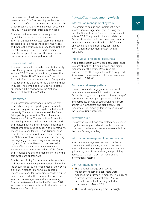57

components for best practice information management. The framework provides a robust approach to information management across the entity, recognising that the individual sections of the Court have different information needs.

The information framework is supported by policies and standards that ensure the information that is collected, stored and made accessible is tailored to those differing needs, and meets the entity's regulatory, legal, risk and operational requirements. Short training modules scripted to support the information framework are also being developed.

# Records authorities

The new combined Tribunals Records Authority was officially issued by the National Archives in June 2020. The records authority covers the National Native Title Tribunal, the Copyright Tribunal of Australia, the Australian Competition Tribunal and the Defence Force Discipline Appeal Tribunal. The combined draft Courts Records Authority will be reviewed by the National Archives of Australia in 2020–21.

# **Committees**

The Information Governance Committee met quarterly during the reporting year to monitor information governance obligations that effect the entity. The committee endorsed the Deputy Principal Registrar as the Chief Information Governance Officer. The committee focused on the development of the information framework and related policies and standards; information management training to support the framework; access provisions for Court and Tribunal case records that are required to be transferred to the National Archives of Australia; and meeting the ongoing government targets for working digitally. The committee also commenced a review of its terms of reference to ensure that it is representative of the sections of the Court and Tribunal, and that the responsibilities of the committee are appropriate.

The Records Policy Committee met bi-monthly and recommended key policy changes, including the secure disposal of storage media, the Court's digitisation standard for physical records, access provisions for native title records required to be transferred to the National Archives, and information management induction training. The committee was dissolved in February 2020, as its work has been replaced by the Information Governance Committee.

# Information management projects

# Information management system

The project to design and implement a new information management system using the Court's 'Content Server' platform commenced in May 2020. The project will consolidate the Court's three electronic document and records management systems (RecFind, eDOCS and Objective) and implement one, centralised information management system within the Court.

# Audio-visual and digital resources

A dedicated national drive has been established to store all native title audio visual and digital resources for the entity. Resources are transferred to other digital formats as required. A preservation assessment of these resources is planned for 2020–21.

# Archives and image gallery

The archives and image gallery continues to be a valuable source of information on the Court's history, including information on judges' ceremonies, transcripts, speeches, articles and portraits, photos of court buildings, court artworks, newsletters and significant other resources. The image gallery is accessible via the Federal Court intranet.

# Artworks audit

The artworks audit was completed and an asset register covering all artworks in the entity was produced. The listed artworks are available from the Court's Image Gallery.

# Information management communication

Information Management revised its intranet presence, creating a single point of access to information management policies, standards and guidelines, records authorities, and providing access to the Court's current records and information systems.

# Contract management

- The national storage and records management services contracts were extended for a further 12 months. The current contracts expire in March 2021. A new national contract will be negotiated to commence in March 2021.
- The Court is negotiating a new copyright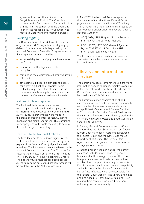agreement to cover the entity with the Copyright Agency Pty Ltd. The Court is a partner on the Department of Communication and the Arts' Agreement with the Copyright Agency. The responsibility for Copyright has moved to Library and Information Services.

# Working digitally

The Court continues to work towards the wholeof-government 2020 target to work digitally by default. This is a reportable target set by the National Archives of Australia. Progress towards this target was demonstrated by:

- increased digitisation of physical files across the Courts
- deployment of the digital court file in family law
- completing the digitisation of Family Court file lists, and
- developing a digitisation standard to enable consistent digitisation of physical items and a digital preservation standard for the preservation of born digital records and the conversion of obsolete media and formats.

# National Archives reporting

The National Archives annual check-up, reporting on digital benchmark targets, saw an improvement of 0.29 per cent on the entity's 2019 results. Improvements were made in the areas of creating, interoperability, storing, disposing and digital operations. This continued steady progress will enable the entity to achieve the whole-of-government targets.

# Transfers to the National Archives

The first documents to undergo digital transfer for the Court were the minutes and background papers of the Federal Court judges' biannual meetings. The information was transferred to the National Archives in January 2020. The transfer covered the minutes from the very first meeting on 7 February 1977 to 2007, spanning 30 years. The papers will be released for public access 30 years from the date of publication. Access will be available from the National Archives.

In May 2019, the National Archives approved the transfer of two significant Federal Court physical case matters held in the ACT registry. These matters are the first significant files to be approved for transfer under the Federal Court's Records Authority:

- (ACD) AG86/1995: Hughes Aircraft Systems International v Airservices Australia
- [NSD] NG733/1997: GEC Marconi Systems Pty Ltd T/AS EASAMS Australia v BHP Information Technology Pty Ltd

The first matter is now ready for transfer and a transfer date is being coordinated with the National Archives.

# Library and information services

The library provides a comprehensive library and information service to judges, registrars and staff of the Federal Court, Family Court and Federal Circuit Court, and members and staff of the National Native Title Tribunal.

The library collection consists of print and electronic materials and is distributed nationally, with qualified librarians in each state capital except Hobart, Canberra and Darwin. Services to Tasmania, the Australian Capital Territory and the Northern Territory are provided by staff in the Victorian, New South Wales and South Australian libraries, respectively.

In Sydney, Federal Court judges and staff are supported by the New South Wales Law Courts Library under a Heads of Agreement between the Federal Court and the New South Wales Department of Justice. The terms of this Agreement are renegotiated each year to reflect changing circumstances.

Although primarily legal in nature, the library collection includes material on Indigenous history and anthropology to support the native title practice areas, and material on children and families to support the family consultants. Details of items held in the collection are publicly available through the Library Catalogue and Native Title Infobase, which are accessible from the Federal Court website. The library's holdings are also added to Libraries Australia and Trove making them available for interlibrary loan nationally and internationally.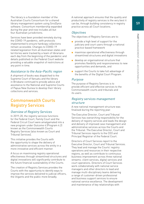The library is a foundation member of the Australian Courts Consortium for a shared library management system using SirsiDynix software. Consortium membership expanded during the year and now includes all but four Australian jurisdictions.

Services have been provided remotely during the COVID-19 pandemic, with protocols implemented to ensure hardcopy collections remain accessible. Changes to COVID-19 related legislation from all Australian states and territories were tracked by a team of librarians each day from the beginning of the pandemic and details published on the Federal Court website providing a valuable snapshot of restrictions at any point in time.

# Assistance to the Asia–Pacific region

A shipment of books was dispatched to the Supreme Court of Vanuatu and the library in Brisbane continued to provide advice and assistance to the National and Supreme Courts of Papua New Guinea to develop their library collections and services.

# Commonwealth Courts Registry Services

# Overview of Registry Services

In 2019–20, the registry services functions for the Federal Court, Family Court and the Federal Circuit Court were amalgamated into a new program under Outcome 4 (Program 4.2) known as the Commonwealth Courts Registry Services (also known as Court and Tribunal Services).

This initiative provides the Courts with the opportunity to shape the delivery of administrative services across the entity in a more innovative and efficient manner.

A focus on maximising registry operational effectiveness through streamlined structures and digital innovations will significantly contribute to the future financial sustainability of the Courts.

The creation of Registry Services provides the Courts with the opportunity to identify ways to improve the services delivered to judicial officers, the litigants and the public more broadly.

A national approach ensures that the quality and productivity of registry services is the very best it can be, through building consistency in registry practice across all Court locations.

# **Objectives**

The objectives of Registry Services are to:

- provide a high level of support for the judiciary and court users through a national practice-based framework
- maximise operational effectiveness through streamlined structures and digital innovations
- develop an organisational structure that promotes flexibility and responsiveness to new opportunities and demands, and
- support the Courts to take full advantage of the benefits of the Digital Court Program.

# Purpose

The purpose of Registry Services is to provide efficient and effective services to the Commonwealth courts and tribunals and its users.

# Registry services management structure

A new national management structure was finalised during the reporting year.

The Executive Director, Court and Tribunal Services has overarching responsibility for the delivery of registry services and leads the design and delivery of improved case management and administrative services across the Courts and the Tribunal. The Executive Director, Court and Tribunal Services reports to the CEO and Principal Registrar of the Federal Court.

Directors of Court Services report to the Executive Director, Court and Tribunal Services. They lead and manage the Courts' registry operations and resources in their respective regions, as well as contribute to continuous business improvement across three national streams: client services, digital services and court operations. Directors of Court Services work collaboratively with national service managers and other directors to lead and manage multi-disciplinary teams delivering a range of customer-driven professional and business support services to ensure national service excellence. The development and maintenance of key relationships with

Management

and

accountability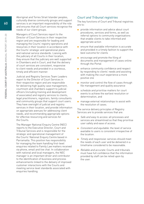Aboriginal and Torres Strait Islander peoples, culturally diverse community groups and support services is an important responsibility of the role and ensures that all Court services recognise the needs of our client groups.

Managers of Court Services report to the Director of Court Services in their respective region and are responsible for leading and managing the Courts' registry operations and resources in their location in accordance with the Courts' strategic and operational plans and national service standards. Liaising with the judiciary of all Courts in their location, they ensure that the judiciary are well supported in Chambers and in Court, and that the delivery of court services are consistent, responsive to client needs and provided in a courteous, timely and efficient manner.

Judicial and Registry Services Team Leaders report to the Director of Court Services in their respective region and are responsible for delivering high quality case management, courtroom and chambers support to judicial officers (including training and development of associates) and registry services to clients, legal practitioners, registrars, family consultants and community groups that support court users. They have oversight of judicial and registry services in their location, and provide information on appropriate avenues for addressing client needs, and recommending appropriate options for effective resourcing and services for the Courts.

The Manager National Enquiry Centre (NEC) reports to the Executive Director, Court and Tribunal Services and is responsible for the strategic and operational management of the Courts' National Enquiry Centre based in Parramatta. This position has responsibility for managing the team handling first-level enquiries related to Family Law matters received via phone, email and live chat. In collaboration with national and local managers, the NEC manager is an important driver and contributor to the identification of business and process enhancements linked to the delivery of improved customer interactions with the Courts and meeting service level standards associated with enquiries handling.

# Court and Tribunal registries

The key functions of Court and Tribunal registries are to:

- provide information and advice about court procedures, services and forms, as well as referral options to community organisations that enable clients to take informed and appropriate action
- ensure that available information is accurate and provided in a timely fashion to support the best outcome for clients
- encourage and promote the filing of documents and management of cases online through the Portal
- enhance community confidence and respect by responding to clients' needs and assisting with making the court experience a more positive one
- monitor and control the flow of cases through file management and quality assurance
- schedule and prioritise matters for court events to achieve the earliest resolution or determination, and
- manage external relationships to assist with the resolution of cases.

The service delivery principles of Registry Services are to provide services that are:

- Safe and easy to access: all processes and services are streamlined so that they prioritise user safety and ease of access.
- Consistent and equitable: the level of service available to users is consistent irrespective of the location.
- Timely and responsive: services should meet the needs of each user and be delivered in a timeframe considered to be reasonable.
- Reliable and accurate: Courts and tribunals must have full confidence that the information provided by staff can be relied upon by the user.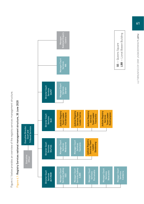Figure 4.1 below provides an overview of the registry services management structure. Figure 4.1 below provides an overview of the registry services management structure.



# Figure 4.1: Registry Services national management structure, 30 June 2020 Figure 4.1: Registry Services national management structure, 30 June 2020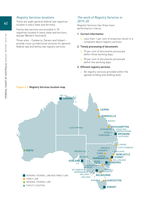# Registry Services locations

There are eight general federal law registries located in every state and territory.

Family law services are provided in 18 registries located in every state and territory (except Western Australia).

Three sites – Canberra, Darwin and Hobart – provide cross-jurisdictional services for general federal law and family law registry services.

# The work of Registry Services in 2019–20

Registry Services has three main performance criteria:

#### 1. Correct information

 $\Box$  Less than 1 per cent of enquiries result in a complaint about registry services.

#### 2. Timely processing of documents

- 75 per cent of documents processed within three working days.
- 90 per cent of documents processed within five working days.

#### 3. Efficient registry services

 $\Box$  All registry services provided within the agreed funding and staffing level.



Figure 4.2: Registry Services location map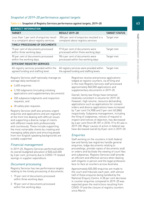# Snapshot of 2019–20 performance against targets

# Table 4.4: Snapshot of Registry Services performance against targets, 2019–20

| <b>CORRECT INFORMATION</b>                                                          |                                                                                       |                      |
|-------------------------------------------------------------------------------------|---------------------------------------------------------------------------------------|----------------------|
| <b>TARGET</b>                                                                       | <b>RESULT 2019-20</b>                                                                 | <b>TARGET STATUS</b> |
| Less than 1 per cent of enquiries result<br>in a complaint about registry services. | .004 per cent of enquiries resulted in a<br>complaint about registry services         | Target met           |
| TIMELY PROCESSING OF DOCUMENTS                                                      |                                                                                       |                      |
| 75 per cent of documents processed<br>within three working days.                    | 97.8 per cent of documents were<br>processed within three working days                | Target met           |
| 90 per cent of documents processed<br>within five working days.                     | 98.4 per cent of documents were<br>processed within five working days                 | Target met           |
| <b>EFFICIENT REGISTRY SERVICES</b>                                                  |                                                                                       |                      |
| All registry services provided within the<br>agreed funding and staffing level.     | All registry services were provided within<br>the agreed funding and staffing levels. | Target met           |
|                                                                                     |                                                                                       |                      |

Registry Services staff nationally manage an average daily workload of:

- 3,400 enquiries
- 3,100 lodgments (including initiating applications and supplementary documents)
- 330 subpoena lodgments and inspection requests, and
- 20 safety plan requests.

Registry Services staff also process urgent enquiries and applications and are regularly at the front line dealing with difficult issues and supporting a diverse range of clients with different needs both professionally and courteously. These include supporting the most vulnerable clients by creating and managing safety plans and ensuring people from non-English speaking backgrounds are suitably supported.

# Financial management

In 2019–20, Registry Services performed within its overall budgeted allocation of \$30,445,000 by 3 per cent, primarily due to COVID-19 related savings in supplier expenditure.

# Document processing

Registry Services has two performance targets relating to the timely processing of documents.

- 1. 75 per cent of documents processed within three working days.
- 2. 90 per cent of documents processed within five working days.

Registries receive and process applications lodged at registry counters, via eFiling and in the mail Registry Services staff processed approximately 860,000 applications and supplementary documents in 2019–20.

Overall, family law filings have remained relatively consistent in volume for 2019–20. However, high volume, resource demanding applications such as applications for consent orders and divorce applications have increased by 7 per cent (14,908) and 3 per cent (45,886) respectively. Subpoena management, including the filing of subpoenas, notices of request to inspect and notices of objection, has decreased by 6 per cent (from 89,187 in 2018–19 to 81,444 in 2019–20). Major causes of action in federal law have decreased overall by 8 per cent in 2019–20.

# **Enquiries**

Staff working on the counters in both federal law and family law registries handle general enquiries, lodge documents relating to proceedings, provide copies of documents and/ or orders and facilitate the viewing of court files and subpoenas. Registry Services staff provide an efficient and effective service when dealing with litigants in person and the legal profession face-to-face at counters across Australia.

Approximately 835,000 enquiries are made to the court and tribunals each year, with almost half of these enquires being handled by the National Enquiry Centre. A 28 per cent decrease in counter enquiries compared to 2019–20 was expected given the restrictions resulting from COVID-19 and the closure of registry counters since March.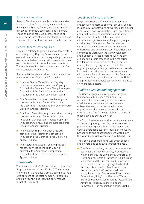# Family law enquiries

Registry Services staff handle counter enquiries in each location. Court users, and sometimes the National Enquiry Centre, also send enquiries directly to family law court locations via email. These enquiries are usually case-specific or require some form of local knowledge or decision. There are 18 family law courts across the country.

# General federal law enquiries

Enquiries relating to general federal law matters are managed by Registry Services staff at each general federal law location separately. There are five general federal law locations each with their own counters and three with shared counters. They each have their own phone, email and fax contact details for enquiries.

Some registries also provide additional services to support other Courts and Tribunals:

- The New South Wales District Registry provides registry services to the Copyright Tribunal, the Defence Force Discipline Appeal Tribunal and the Australian Competition Tribunal and the Court of Norfolk Island.
- The Queensland registry provides registry services to the High Court of Australia, the Copyright Tribunal, and the Defence Force Discipline Appeal Tribunal.
- The South Australian registry provides registry services to the High Court of Australia, Australian Competition Tribunal, Copyright Tribunal of Australia, and the Defence Force Discipline Appeal Tribunal.
- The Victorian registry provides registry services to the Australian Competition Tribunal and the Defence Force Discipline Appeal Tribunal.
- The Western Australian registry provides registry services to the High Court of Australia, the Australian Competition Tribunal and the Defence Force Discipline Appeal Tribunal.

# **Complaints**

There were a total of 38 complaints in relation to Registry Services during 2019–20. The number of complaints is relatively small, being less than .005 per cent of the total number of enquiries and significantly less than the performance target of 1 per cent.

# Local registry consultation

Registry Services staff continue to regularly engage with numerous external groups such as local family law pathways networks, legal aid, bar associations and law societies, local practitioners and practitioners' associations, community legal centres, family relationship centres, community organisations and support groups, child protection agencies, family violence committees and organisations, state courts, universities and police services. Registries also continued to work with the Family Advocacy and Support Services program, with the aim of enhancing their presence in the registries. In addition to those providers of legal advice already listed, registry services staff also regularly engage with organisations who provide information to litigants requiring assistance with general federal law, such as the Consumer Action Law Centre, Justice Connect, LawRight, and providers of financial counselling and advice on migration matters.

# Public education and engagement

The Court engages in a range of strategies to enhance public understanding of its work, and the Court's registries are involved in educational activities with schools and universities and, on occasion, with other organisations that have an interest in the Court's work. The following highlights some of these activities during the year.

The Court hosted many work experience students across multiple registries. Students are given a program that exposes them to all areas of the Court's operations over the course of one week. School visits and educational tours were down this year due to risks associated with COVID-19.

The Court's support for and work with schools and universities continued through the year.

■ The Victorian registry hosted a number of moot courts for La Trobe University, Freemasons Victoria, Melbourne Law School, University of New England, Victoria University, King & Wood Mallesons and the International Commission of Jurists Victoria. The registry also hosted the CIArb Australia Pre-Moot Grand Final, the Sir Harry Gibbs Constitutional Law Moot, the Victorian Bar Witness Examination Competition, Foley's List First Year Witness Exam Competition, Australian Bar Association Advanced Advocacy Intensive and the Commercial Bar Association Annual Drinks.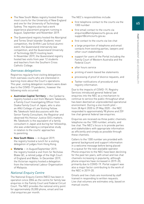- The New South Wales registry hosted three moot courts for the University of New England and one for the University of Technology Sydney. The registry also had a work experience placement program running in August, September and November 2019.
- The Queensland registry hosted the Aboriginal and Torres Strait Islander Students' moot competition, the Griffith Law School alumni event, the Queensland intervarsity law competition, and the Queensland University of Technology (QUT) mooting team. In November 2019, the Queensland registry hosted two visits from year 12 students and teachers from the Southern Cross Catholic College.

# Overseas delegations

Registries regularly host visiting delegations from overseas courts who are interested in learning more about the Court's operations. This year, visiting delegation numbers were down due to the COVID-19 pandemic, however the following visits occurred:

- Australian Capital Territory the Canberra registry hosted a visit from Manami Takekoshi, a Family Court Investigating Officer from Osaka Family Court of Japan, who is also an ANU College of Law Visiting Fellow. Ms Takekoshi held discussions with the Senior Family Consultant, the Registrar and observed His Honour Justice Gill's matters. Ms Takekoshi is the equivalent of a family consultant in Japan and during her fellowship, she was undertaking a comparative study in relation to the courts' approaches to parenting.
- New South Wales in August 2019, the registry hosted a lunch for a visiting delegation of judges from Hong Kong.
- Victoria in August/September 2019, the registry hosted a visit from Sir Nicholas Blake QC, a retired judge of the High Court of England and Wales. In December 2019, the Victorian registry hosted a delegation from the International Labour Organisation of Malaysia.

# National Enquiry Centre

The National Enquiry Centre (NEC) has been in operation since 2006 as the centre for family law enquiries in the Family Court and Federal Circuit Court. The NEC provides the national entry point for approximately 35,000 phone, email and live chat enquiries per month.

The NEC's responsibilities include:

- first telephone contact to the courts via the 1300 number
- first email contact to the courts via enquiries@familylawcourts.gov.au and support@comcourts.gov.au
- first contact to the courts via live chat
- a large proportion of telephone and email contacts from existing parties, lawyers and other court stakeholders
- support for users of the Portal including the Family Court of Western Australia and the Federal Court
- after hours service
- printing of event-based fee statements
- processing of proof of divorce requests, and
- Twitter notifications of procedural and registry information.

Due to the impacts of COVID-19, Registry Services introduced general federal law enquiries into the NEC as a mechanism to continue to service the public throughout what has been deemed an unprecedented operational environment. During a one month pilot – from 28 April 2020 to 29 May 2020 – the NEC responded to approximately 98 phone and 259 live chat general federal law enquiries.

Enquiries are received via three public channels: telephone via the 1300 number; emails; and live chat. The NEC's focus is to provide parties and stakeholders with appropriate information as efficiently and simply as possible through these channels.

Callers to the 1300 number are provided with general background and support information in a welcome message before being placed in a queue for the next available operator. Phone enquiries to the NEC have been declining for the past ten years, with email and live chat channels increasing in popularity, although phone enquiries have increased in 2019–20, primarily due to COVID-19. Portal support was also a major factor contributing to the work of the NEC in 2019–20.

Emails and live chats are monitored by staff trained in responding to written requests. Live chat volumes are estimates only, based on manual counts.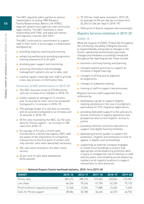The NEC regularly refers parties to various stakeholders including 1800 Respect, Family Relationships Advice Line (FRAL), legal aid, government agencies and community legal centres. The NEC maintains a close relationship with FRAL and legal aid centres and regularly consults with them.

The NEC continued its commitment to support staff in their work. It encourages a collaborative workplace by:

- providing ongoing coaching and training
- enhancing wellbeing by providing ergonomic training assessment to all staff
- providing peer support and mentoring
- ensuring information and knowledge management systems are up-to-date, and
- holding regular meetings with staff to provide a two-way process of information flow.

# Summary of NEC performance in 2019–20

- The NEC received a total of 275,052 phone calls (an increase from 260,844 in 2018–19).
- Callers waited an average of 15 minutes and 16 seconds for their call to be answered (compared to 14 minutes in 2018–19).
- The average length of a call was six minutes and 36 seconds (compared to six minutes and 24 seconds in 2018–19).
- Of the calls received by the NEC, 46,752 calls were for Portal support – an increase of 180 calls from 2018–19.
- An average of 74 calls a month were transferred to a family law registry. NEC staff are aware of the importance of completing transactions at the first point of contact and only transfer calls when absolutely necessary.
- 204 calls were received to the after-hours service.
- 43 per cent of calls were abandoned while queued.
- 75,192 live chats were received in 2019-20, an average of 296 per day (an increase from 62,256 (or 246 per day) in 2018–19).
- 9696 proof of divorce requests were processed.

# Registry Services initiatives in 2019–20

# COVID-19

While the impacts of COVID-19 were felt throughout the community, the ability of Registry Services to respond flexibly and quickly to changes in the Courts' operational environments saw many changes and initiatives successfully introduced throughout the reporting period. These include:

- business continuity testing and planning
- changed registry practices to support an increase in digital hearings
- changes to eFiling and eLodgment arrangements
- changes to subpoena viewing
- training of staff to support new processes.

Registry Services staff supported these initiatives by:

- developing a quide to support litigants seeking assistance in the use of eLodgment, particularly for FCC migration applications
- providing dedicated support to the judiciary to ensure continuity of registry operations and prospective and current litigants' access to justice
- providing national courtroom allocation to support new digital hearing initiatives
- developing practice guides to support the profession, litigants and witnesses on how to appear in digital court proceedings
- supporting an external company engaged to review Court buildings to ensure that appropriate social distancing protocols were in place to mitigate the risk of infection to staff and the public and installing social distancing markers at all registry locations to support revised face-to-face protocols.

| <b>TARGET</b>                       | $2015 - 16$ | $2016 - 17$ | $2017 - 18$ | $2018 - 19$ | $2019 - 20$ |
|-------------------------------------|-------------|-------------|-------------|-------------|-------------|
| Phone calls                         | 286.476     | 288.276     | 272.040     | 260.844     | 275.052     |
| Live chats                          | 66.336      | 95.424      | 91.704      | 62.256      | 75.192      |
| Proof of divorce requests processed | 12.348      | 13.344      | 11.880      | 10.656      | 9.696       |
| Calls for Portal support            | 28.584      | 30.180      | 36.636      | 46.572      | 46.752      |

# Table 4.5: National Enquiry Centre workload statistics, 2015–16 to 2019–20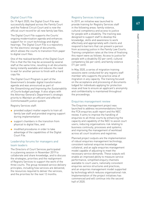# Digital Court File

On 19 April 2020, the Digital Court File was successfully deployed across the Family Court and the Federal Circuit Court and is now the official court record for all new family law files.

The Digital Court File supports the Courts' ongoing modernisation agenda and enhances support for in-court technology and digital hearings. The Digital Court File is a repository for the electronic storage of documents, which allows the courts to transition from paper to digital court files.

One of the realised benefits of the Digital Court File is that the file may be accessed by several staff at the same time, resulting in all documents being instantly available and reduces the need to wait for another person to finish with a hard copy file.

The Digital Court Program is part of the Government's broader digital transformation agenda and was announced as part of the Streamlining and Improving the Sustainability of Courts budget package. It also aligns with the Attorney-General's Department's strategic priority to Maintain an efficient and effective Commonwealth justice system.

Registry Services staff:

- provided subject matter experts to train all family law staff and provided ongoing support during implementation
- support chambers in the transition from physical to digital files, and
- modified procedures in order to take advantage of the capabilities of the Digital Court File.

# Leadership forums for managers and team leaders

The Directors of Court Services participated in a planning session in November 2019 to collaborate and share knowledge, and to discuss the strategies, priorities and the realignment of Registry Services to support the work of the three courts. The group reviewed service delivery principles, including how services are delivered, the resources required to deliver the services, and the priorities for the next 12 months.

# Registry Services training

In 2019, an initiative was launched to provide training for Registry Services staff in the following areas: family violence, cultural competency and access to justice for people with a disability. The training was designed to support staff to develop the knowledge, skills and awareness to work effectively and appropriately with clients and respond to barriers that can prevent a person from accessing justice in the Family Law Courts. Training completion rates at the time of finalising this report were as follows: Access to justice for people with a disability (52 per cent); cultural competency (64 per cent); and family violence (71 per cent).

In May 2020, a series of migration training sessions were conducted for any registry staff member who supports the practice area of migration in any capacity. The training focused on the acceptance and processing of documents lodged for individuals applying for protection visas and how to ensure an applicant's anonymity and confidentiality is maintained throughout the proceedings.

# Enquiries management review

The Enquiries management project was launched to address recommendations from the FCA enquiries audit report and the NEC review. It aims to improve the handling of enquiries to all three courts by enhancing the capacity and capability of the NEC to assist court users; reducing organisations risk relating to business continuity, processes and systems; and improving the management of workload across all court locations and registries.

Planned project outputs are the implementation of robust enquiries management technology, consistent national enquiries knowledge collateral, and an agile enquiries management model capable of adjusting to meet the necessary service demands. These outputs will enable an improved ability to measure service performance, simplified enquiry channels available to court users, nationally consistent enquiries service structures and practices, and an enquiries management model supported by technology which reduces organisational risk. Implementation of the project initiatives has commenced and will continue into the second half of 2020.